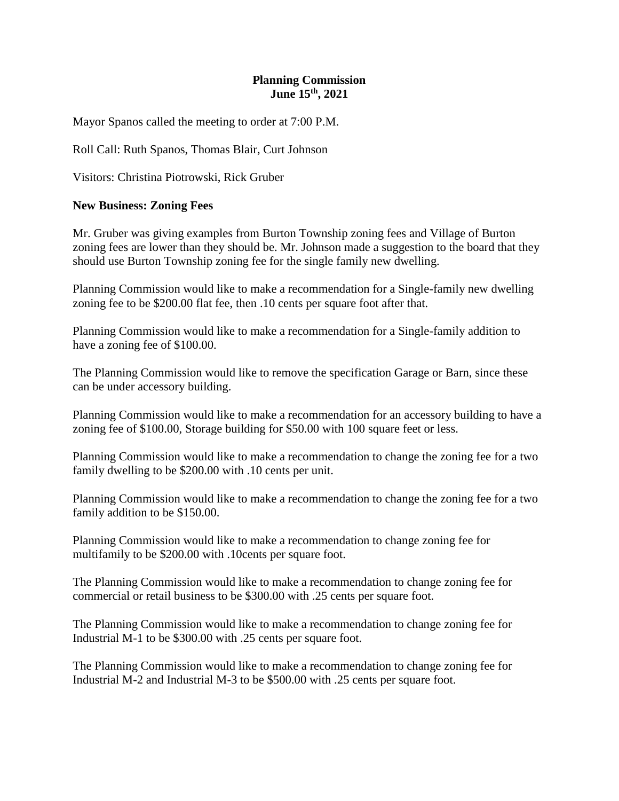## **Planning Commission June 15th, 2021**

Mayor Spanos called the meeting to order at 7:00 P.M.

Roll Call: Ruth Spanos, Thomas Blair, Curt Johnson

Visitors: Christina Piotrowski, Rick Gruber

## **New Business: Zoning Fees**

Mr. Gruber was giving examples from Burton Township zoning fees and Village of Burton zoning fees are lower than they should be. Mr. Johnson made a suggestion to the board that they should use Burton Township zoning fee for the single family new dwelling.

Planning Commission would like to make a recommendation for a Single-family new dwelling zoning fee to be \$200.00 flat fee, then .10 cents per square foot after that.

Planning Commission would like to make a recommendation for a Single-family addition to have a zoning fee of \$100.00.

The Planning Commission would like to remove the specification Garage or Barn, since these can be under accessory building.

Planning Commission would like to make a recommendation for an accessory building to have a zoning fee of \$100.00, Storage building for \$50.00 with 100 square feet or less.

Planning Commission would like to make a recommendation to change the zoning fee for a two family dwelling to be \$200.00 with .10 cents per unit.

Planning Commission would like to make a recommendation to change the zoning fee for a two family addition to be \$150.00.

Planning Commission would like to make a recommendation to change zoning fee for multifamily to be \$200.00 with .10cents per square foot.

The Planning Commission would like to make a recommendation to change zoning fee for commercial or retail business to be \$300.00 with .25 cents per square foot.

The Planning Commission would like to make a recommendation to change zoning fee for Industrial M-1 to be \$300.00 with .25 cents per square foot.

The Planning Commission would like to make a recommendation to change zoning fee for Industrial M-2 and Industrial M-3 to be \$500.00 with .25 cents per square foot.